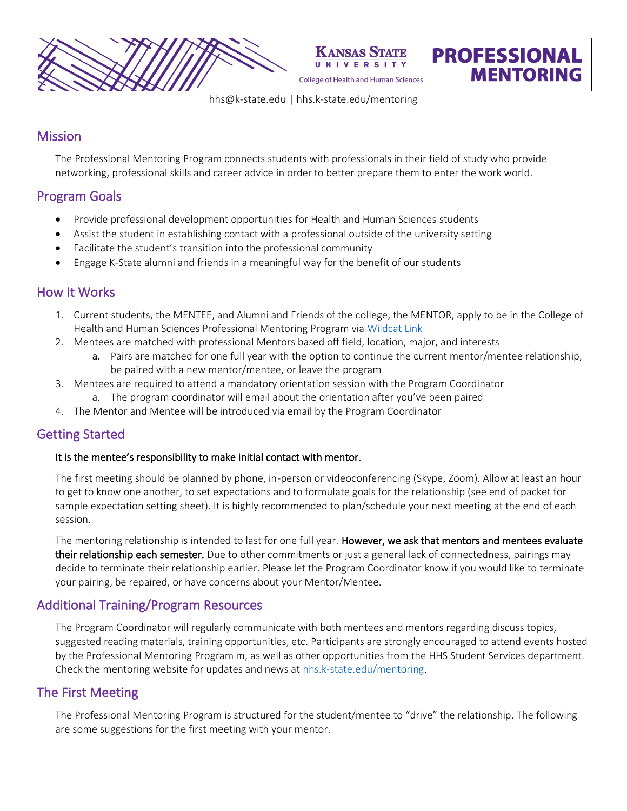

[hhs@k-state.edu](mailto:Mentoradmin@k-state.edu) | hhs.k-state.edu/mentoring

**PROFESSIONAL** 

**MENTORING** 

## **Mission**

The Professional Mentoring Program connects students with professionals in their field of study who provide networking, professional skills and career advice in order to better prepare them to enter the work world.

# Program Goals

- Provide professional development opportunities for Health and Human Sciences students
- Assist the student in establishing contact with a professional outside of the university setting
- Facilitate the student's transition into the professional community
- Engage K-State alumni and friends in a meaningful way for the benefit of our students

## How It Works

- 1. Current students, the MENTEE, and Alumni and Friends of the college, the MENTOR, apply to be in the College of Health and Human Sciences Professional Mentoring Program via [Wildcat Link](https://wildcatlink.ksu.edu/hub/wildcatlink/program/college-of-health-and-human-sciences-mentoring-program/about)
- 2. Mentees are matched with professional Mentors based off field, location, major, and interests
	- a. Pairs are matched for one full year with the option to continue the current mentor/mentee relationship, be paired with a new mentor/mentee, or leave the program
- 3. Mentees are required to attend a mandatory orientation session with the Program Coordinator
	- a. The program coordinator will email about the orientation after you've been paired
- 4. The Mentor and Mentee will be introduced via email by the Program Coordinator

## Getting Started

### It is the mentee's responsibility to make initial contact with mentor.

The first meeting should be planned by phone, in-person or videoconferencing (Skype, Zoom). Allow at least an hour to get to know one another, to set expectations and to formulate goals for the relationship (see end of packet for sample expectation setting sheet). It is highly recommended to plan/schedule your next meeting at the end of each session.

The mentoring relationship is intended to last for one full year. However, we ask that mentors and mentees evaluate their relationship each semester. Due to other commitments or just a general lack of connectedness, pairings may decide to terminate their relationship earlier. Please let the Program Coordinator know if you would like to terminate your pairing, be repaired, or have concerns about your Mentor/Mentee.

# Additional Training/Program Resources

The Program Coordinator will regularly communicate with both mentees and mentors regarding discuss topics, suggested reading materials, training opportunities, etc. Participants are strongly encouraged to attend events hosted by the Professional Mentoring Program m, as well as other opportunities from the HHS Student Services department. Check the mentoring website for updates and news a[t hhs.k-state.edu/mentoring.](https://www.hhs.k-state.edu/students/services/mentoring/)

# The First Meeting

The Professional Mentoring Program is structured for the student/mentee to "drive" the relationship. The following are some suggestions for the first meeting with your mentor.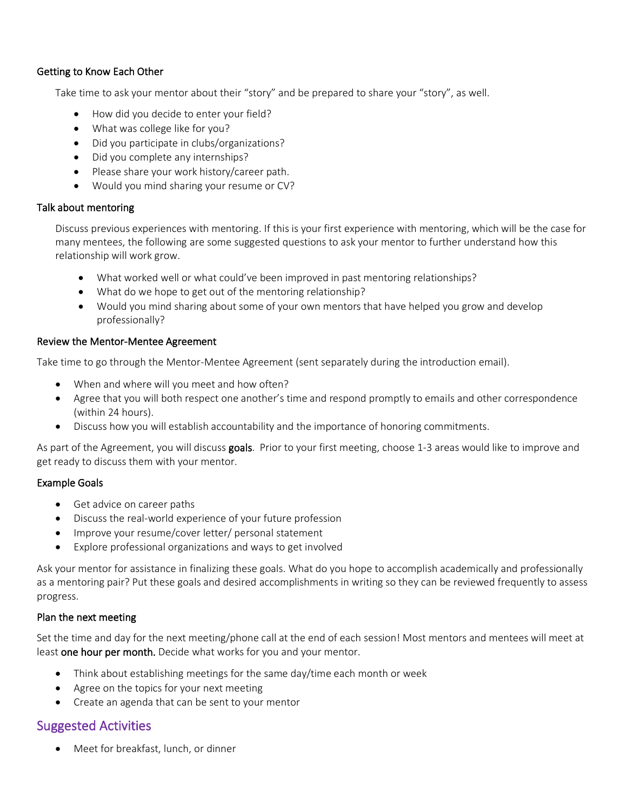### Getting to Know Each Other

Take time to ask your mentor about their "story" and be prepared to share your "story", as well.

- How did you decide to enter your field?
- What was college like for you?
- Did you participate in clubs/organizations?
- Did you complete any internships?
- Please share your work history/career path.
- Would you mind sharing your resume or CV?

### Talk about mentoring

Discuss previous experiences with mentoring. If this is your first experience with mentoring, which will be the case for many mentees, the following are some suggested questions to ask your mentor to further understand how this relationship will work grow.

- What worked well or what could've been improved in past mentoring relationships?
- What do we hope to get out of the mentoring relationship?
- Would you mind sharing about some of your own mentors that have helped you grow and develop professionally?

### Review the Mentor-Mentee Agreement

Take time to go through the Mentor-Mentee Agreement (sent separately during the introduction email).

- When and where will you meet and how often?
- Agree that you will both respect one another's time and respond promptly to emails and other correspondence (within 24 hours).
- Discuss how you will establish accountability and the importance of honoring commitments.

As part of the Agreement, you will discuss goals. Prior to your first meeting, choose 1-3 areas would like to improve and get ready to discuss them with your mentor.

### Example Goals

- Get advice on career paths
- Discuss the real-world experience of your future profession
- Improve your resume/cover letter/ personal statement
- Explore professional organizations and ways to get involved

Ask your mentor for assistance in finalizing these goals. What do you hope to accomplish academically and professionally as a mentoring pair? Put these goals and desired accomplishments in writing so they can be reviewed frequently to assess progress.

### Plan the next meeting

Set the time and day for the next meeting/phone call at the end of each session! Most mentors and mentees will meet at least one hour per month. Decide what works for you and your mentor.

- Think about establishing meetings for the same day/time each month or week
- Agree on the topics for your next meeting
- Create an agenda that can be sent to your mentor

# Suggested Activities

Meet for breakfast, lunch, or dinner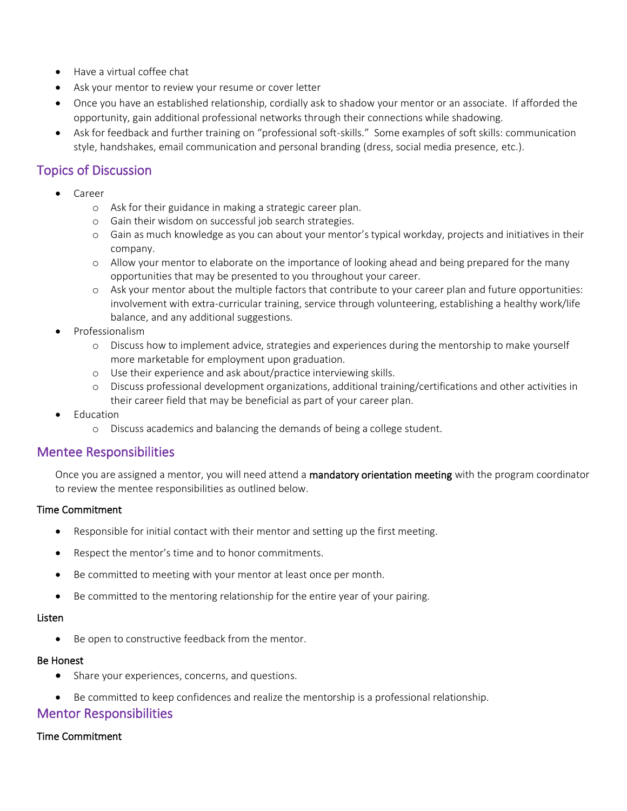- Have a virtual coffee chat
- Ask your mentor to review your resume or cover letter
- Once you have an established relationship, cordially ask to shadow your mentor or an associate. If afforded the opportunity, gain additional professional networks through their connections while shadowing.
- Ask for feedback and further training on "professional soft-skills." Some examples of soft skills: communication style, handshakes, email communication and personal branding (dress, social media presence, etc.).

## Topics of Discussion

- Career
	- o Ask for their guidance in making a strategic career plan.
	- o Gain their wisdom on successful job search strategies.
	- o Gain as much knowledge as you can about your mentor's typical workday, projects and initiatives in their company.
	- o Allow your mentor to elaborate on the importance of looking ahead and being prepared for the many opportunities that may be presented to you throughout your career.
	- o Ask your mentor about the multiple factors that contribute to your career plan and future opportunities: involvement with extra-curricular training, service through volunteering, establishing a healthy work/life balance, and any additional suggestions.
- Professionalism
	- o Discuss how to implement advice, strategies and experiences during the mentorship to make yourself more marketable for employment upon graduation.
	- o Use their experience and ask about/practice interviewing skills.
	- o Discuss professional development organizations, additional training/certifications and other activities in their career field that may be beneficial as part of your career plan.
- **Education** 
	- o Discuss academics and balancing the demands of being a college student.

## Mentee Responsibilities

Once you are assigned a mentor, you will need attend a mandatory orientation meeting with the program coordinator to review the mentee responsibilities as outlined below.

### Time Commitment

- Responsible for initial contact with their mentor and setting up the first meeting.
- Respect the mentor's time and to honor commitments.
- Be committed to meeting with your mentor at least once per month.
- Be committed to the mentoring relationship for the entire year of your pairing.

### Listen

• Be open to constructive feedback from the mentor.

### Be Honest

- Share your experiences, concerns, and questions.
- Be committed to keep confidences and realize the mentorship is a professional relationship.

## Mentor Responsibilities

### Time Commitment